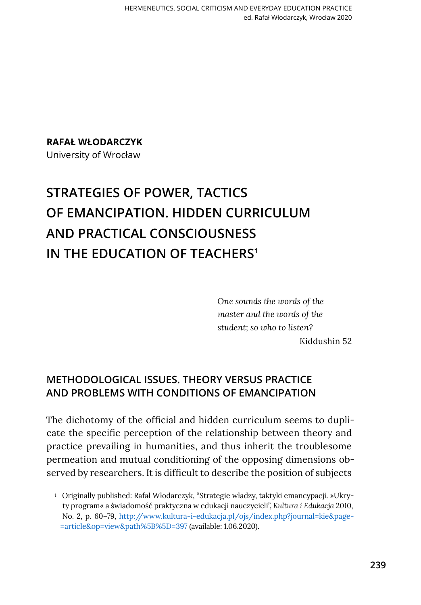**Rafał Włodarczyk**

University of Wrocław

# **Strategies of Power, Tactics of Emancipation. Hidden Curriculum and Practical Consciousness IN THE EDUCATION OF TEACHERS<sup>1</sup>**

*One sounds the words of the master and the words of the student; so who to listen?* Kiddushin 52

# **METHODOLOGICAL ISSUES. THEORY VERSUS PRACTICE AND PROBLEMS WITH CONDITIONS OF EMANCIPATION**

The dichotomy of the official and hidden curriculum seems to duplicate the specific perception of the relationship between theory and practice prevailing in humanities, and thus inherit the troublesome permeation and mutual conditioning of the opposing dimensions observed by researchers. It is difficult to describe the position of subjects

<sup>1</sup> Originally published: Rafał Włodarczyk, "Strategie władzy, taktyki emancypacji. »Ukryty program« a świadomość praktyczna w edukacji nauczycieli", *Kultura i Edukacja* 2010, No. 2, p. 60–79, [http://www.kultura-i-edukacja.pl/ojs/index.php?journal=kie&page](http://www.kultura-i-edukacja.pl/ojs/index.php?journal=kie&page=article&op=view&path%5B%5D=397) [=article&op=view&path%5B%5D=397](http://www.kultura-i-edukacja.pl/ojs/index.php?journal=kie&page=article&op=view&path%5B%5D=397) (available: 1.06.2020).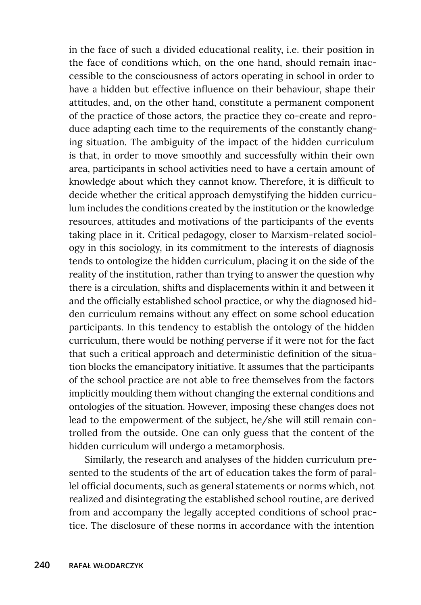in the face of such a divided educational reality, i.e. their position in the face of conditions which, on the one hand, should remain inaccessible to the consciousness of actors operating in school in order to have a hidden but effective influence on their behaviour, shape their attitudes, and, on the other hand, constitute a permanent component of the practice of those actors, the practice they co-create and reproduce adapting each time to the requirements of the constantly changing situation. The ambiguity of the impact of the hidden curriculum is that, in order to move smoothly and successfully within their own area, participants in school activities need to have a certain amount of knowledge about which they cannot know. Therefore, it is difficult to decide whether the critical approach demystifying the hidden curriculum includes the conditions created by the institution or the knowledge resources, attitudes and motivations of the participants of the events taking place in it. Critical pedagogy, closer to Marxism-related sociology in this sociology, in its commitment to the interests of diagnosis tends to ontologize the hidden curriculum, placing it on the side of the reality of the institution, rather than trying to answer the question why there is a circulation, shifts and displacements within it and between it and the officially established school practice, or why the diagnosed hidden curriculum remains without any effect on some school education participants. In this tendency to establish the ontology of the hidden curriculum, there would be nothing perverse if it were not for the fact that such a critical approach and deterministic definition of the situation blocks the emancipatory initiative. It assumes that the participants of the school practice are not able to free themselves from the factors implicitly moulding them without changing the external conditions and ontologies of the situation. However, imposing these changes does not lead to the empowerment of the subject, he/she will still remain controlled from the outside. One can only guess that the content of the hidden curriculum will undergo a metamorphosis.

Similarly, the research and analyses of the hidden curriculum presented to the students of the art of education takes the form of parallel official documents, such as general statements or norms which, not realized and disintegrating the established school routine, are derived from and accompany the legally accepted conditions of school practice. The disclosure of these norms in accordance with the intention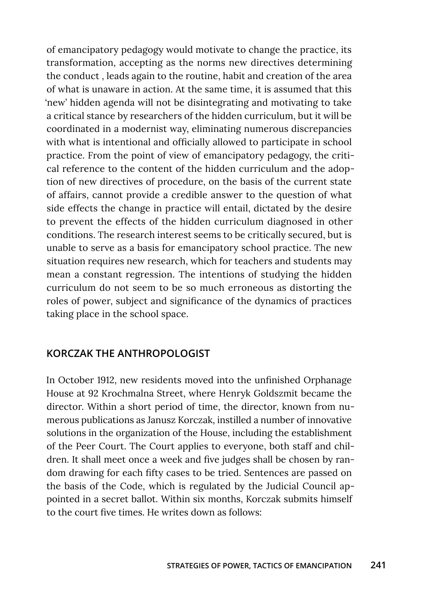of emancipatory pedagogy would motivate to change the practice, its transformation, accepting as the norms new directives determining the conduct , leads again to the routine, habit and creation of the area of what is unaware in action. At the same time, it is assumed that this 'new' hidden agenda will not be disintegrating and motivating to take a critical stance by researchers of the hidden curriculum, but it will be coordinated in a modernist way, eliminating numerous discrepancies with what is intentional and officially allowed to participate in school practice. From the point of view of emancipatory pedagogy, the critical reference to the content of the hidden curriculum and the adoption of new directives of procedure, on the basis of the current state of affairs, cannot provide a credible answer to the question of what side effects the change in practice will entail, dictated by the desire to prevent the effects of the hidden curriculum diagnosed in other conditions. The research interest seems to be critically secured, but is unable to serve as a basis for emancipatory school practice. The new situation requires new research, which for teachers and students may mean a constant regression. The intentions of studying the hidden curriculum do not seem to be so much erroneous as distorting the roles of power, subject and significance of the dynamics of practices taking place in the school space.

#### **KORCZAK THE ANTHROPOLOGIST**

In October 1912, new residents moved into the unfinished Orphanage House at 92 Krochmalna Street, where Henryk Goldszmit became the director. Within a short period of time, the director, known from numerous publications as Janusz Korczak, instilled a number of innovative solutions in the organization of the House, including the establishment of the Peer Court. The Court applies to everyone, both staff and children. It shall meet once a week and five judges shall be chosen by random drawing for each fifty cases to be tried. Sentences are passed on the basis of the Code, which is regulated by the Judicial Council appointed in a secret ballot. Within six months, Korczak submits himself to the court five times. He writes down as follows: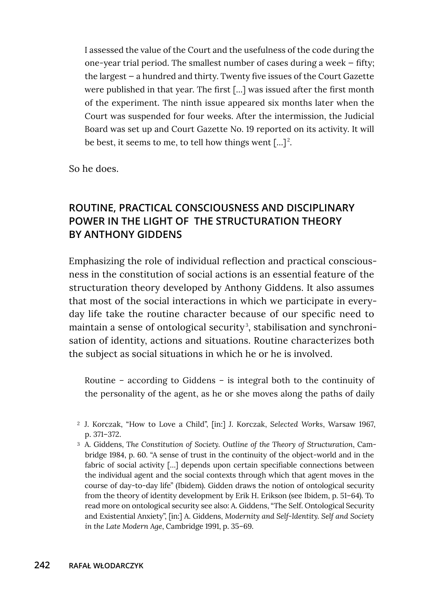I assessed the value of the Court and the usefulness of the code during the one-year trial period. The smallest number of cases during a week — fifty; the largest — a hundred and thirty. Twenty five issues of the Court Gazette were published in that year. The first […] was issued after the first month of the experiment. The ninth issue appeared six months later when the Court was suspended for four weeks. After the intermission, the Judicial Board was set up and Court Gazette No. 19 reported on its activity. It will be best, it seems to me, to tell how things went  $[\ldots]^2$ .

So he does.

# **ROUTINE, PRACTICAL CONSCIOUSNESS AND DISCIPLINARY POWER IN THE LIGHT OF THE STRUCTURATION THEORY BY ANTHONY GIDDENS**

Emphasizing the role of individual reflection and practical consciousness in the constitution of social actions is an essential feature of the structuration theory developed by Anthony Giddens. It also assumes that most of the social interactions in which we participate in everyday life take the routine character because of our specific need to maintain a sense of ontological security<sup>3</sup>, stabilisation and synchronisation of identity, actions and situations. Routine characterizes both the subject as social situations in which he or he is involved.

Routine – according to Giddens – is integral both to the continuity of the personality of the agent, as he or she moves along the paths of daily

- <sup>2</sup> J. Korczak, "How to Love a Child", [in:] J. Korczak, *Selected Works*, Warsaw 1967, p. 371–372.
- <sup>3</sup> A. Giddens, *The Constitution of Society. Outline of the Theory of Structuration*, Cambridge 1984, p. 60. "A sense of trust in the continuity of the object-world and in the fabric of social activity […] depends upon certain specifiable connections between the individual agent and the social contexts through which that agent moves in the course of day-to-day life" (Ibidem). Gidden draws the notion of ontological security from the theory of identity development by Erik H. Erikson (see Ibidem, p. 51–64). To read more on ontological security see also: A. Giddens, "The Self. Ontological Security and Existential Anxiety", [in:] A. Giddens, *Modernity and Self-Identity. Self and Society in the Late Modern Age*, Cambridge 1991, p. 35–69.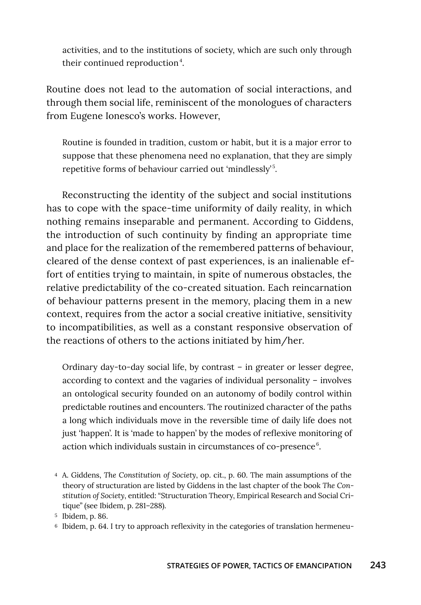activities, and to the institutions of society, which are such only through their continued reproduction<sup>4</sup>.

Routine does not lead to the automation of social interactions, and through them social life, reminiscent of the monologues of characters from Eugene Ionesco's works. However,

Routine is founded in tradition, custom or habit, but it is a major error to suppose that these phenomena need no explanation, that they are simply repetitive forms of behaviour carried out 'mindlessly'<sup>5</sup> .

Reconstructing the identity of the subject and social institutions has to cope with the space-time uniformity of daily reality, in which nothing remains inseparable and permanent. According to Giddens, the introduction of such continuity by finding an appropriate time and place for the realization of the remembered patterns of behaviour, cleared of the dense context of past experiences, is an inalienable effort of entities trying to maintain, in spite of numerous obstacles, the relative predictability of the co-created situation. Each reincarnation of behaviour patterns present in the memory, placing them in a new context, requires from the actor a social creative initiative, sensitivity to incompatibilities, as well as a constant responsive observation of the reactions of others to the actions initiated by him/her.

Ordinary day-to-day social life, by contrast – in greater or lesser degree, according to context and the vagaries of individual personality – involves an ontological security founded on an autonomy of bodily control within predictable routines and encounters. The routinized character of the paths a long which individuals move in the reversible time of daily life does not just 'happen'. It is 'made to happen' by the modes of reflexive monitoring of action which individuals sustain in circumstances of co-presence $6$ .

<sup>4</sup> A. Giddens, *The Constitution of Society*, op. cit., p. 60. The main assumptions of the theory of structuration are listed by Giddens in the last chapter of the book *The Constitution of Society*, entitled: "Structuration Theory, Empirical Research and Social Critique" (see Ibidem, p. 281–288).

<sup>5</sup> Ibidem, p. 86.

<sup>6</sup> Ibidem, p. 64. I try to approach reflexivity in the categories of translation hermeneu-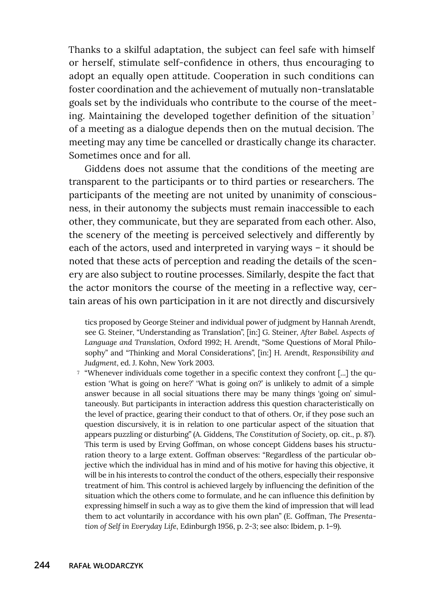Thanks to a skilful adaptation, the subject can feel safe with himself or herself, stimulate self-confidence in others, thus encouraging to adopt an equally open attitude. Cooperation in such conditions can foster coordination and the achievement of mutually non-translatable goals set by the individuals who contribute to the course of the meeting. Maintaining the developed together definition of the situation $<sup>7</sup>$ </sup> of a meeting as a dialogue depends then on the mutual decision. The meeting may any time be cancelled or drastically change its character. Sometimes once and for all.

Giddens does not assume that the conditions of the meeting are transparent to the participants or to third parties or researchers. The participants of the meeting are not united by unanimity of consciousness, in their autonomy the subjects must remain inaccessible to each other, they communicate, but they are separated from each other. Also, the scenery of the meeting is perceived selectively and differently by each of the actors, used and interpreted in varying ways – it should be noted that these acts of perception and reading the details of the scenery are also subject to routine processes. Similarly, despite the fact that the actor monitors the course of the meeting in a reflective way, certain areas of his own participation in it are not directly and discursively

tics proposed by George Steiner and individual power of judgment by Hannah Arendt, see G. Steiner, "Understanding as Translation", [in:] G. Steiner, *After Babel. Aspects of Language and Translation*, Oxford 1992; H. Arendt, "Some Questions of Moral Philosophy" and "Thinking and Moral Considerations", [in:] H. Arendt, *Responsibility and Judgment*, ed. J. Kohn, New York 2003.

<sup>7</sup> "Whenever individuals come together in a specific context they confront [...] the question 'What is going on here?' 'What is going on?' is unlikely to admit of a simple answer because in all social situations there may be many things 'going on' simultaneously. But participants in interaction address this question characteristically on the level of practice, gearing their conduct to that of others. Or, if they pose such an question discursively, it is in relation to one particular aspect of the situation that appears puzzling or disturbing" (A. Giddens, *The Constitution of Society*, op. cit., p. 87). This term is used by Erving Goffman, on whose concept Giddens bases his structuration theory to a large extent. Goffman observes: "Regardless of the particular objective which the individual has in mind and of his motive for having this objective, it will be in his interests to control the conduct of the others, especially their responsive treatment of him. This control is achieved largely by influencing the definition of the situation which the others come to formulate, and he can influence this definition by expressing himself in such a way as to give them the kind of impression that will lead them to act voluntarily in accordance with his own plan" (E. Goffman, *The Presentation of Self in Everyday Life*, Edinburgh 1956, p. 2-3; see also: Ibidem, p. 1–9).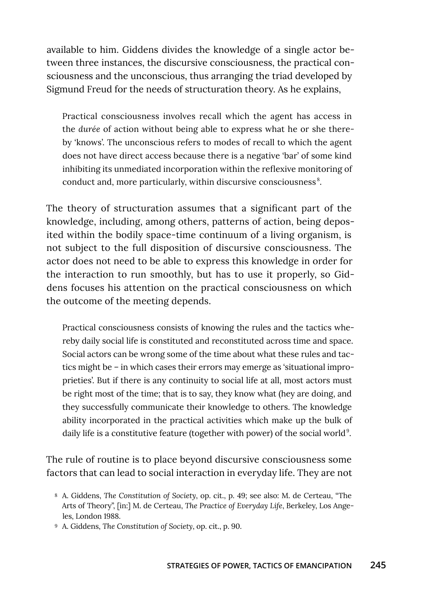available to him. Giddens divides the knowledge of a single actor between three instances, the discursive consciousness, the practical consciousness and the unconscious, thus arranging the triad developed by Sigmund Freud for the needs of structuration theory. As he explains,

Practical consciousness involves recall which the agent has access in the *durée* of action without being able to express what he or she thereby 'knows'. The unconscious refers to modes of recall to which the agent does not have direct access because there is a negative 'bar' of some kind inhibiting its unmediated incorporation within the reflexive monitoring of conduct and, more particularly, within discursive consciousness<sup>8</sup>.

The theory of structuration assumes that a significant part of the knowledge, including, among others, patterns of action, being deposited within the bodily space-time continuum of a living organism, is not subject to the full disposition of discursive consciousness. The actor does not need to be able to express this knowledge in order for the interaction to run smoothly, but has to use it properly, so Giddens focuses his attention on the practical consciousness on which the outcome of the meeting depends.

Practical consciousness consists of knowing the rules and the tactics whereby daily social life is constituted and reconstituted across time and space. Social actors can be wrong some of the time about what these rules and tactics might be – in which cases their errors may emerge as 'situational improprieties'. But if there is any continuity to social life at all, most actors must be right most of the time; that is to say, they know what (hey are doing, and they successfully communicate their knowledge to others. The knowledge ability incorporated in the practical activities which make up the bulk of daily life is a constitutive feature (together with power) of the social world<sup>9</sup>.

The rule of routine is to place beyond discursive consciousness some factors that can lead to social interaction in everyday life. They are not

<sup>9</sup> A. Giddens, *The Constitution of Society*, op. cit., p. 90.

<sup>8</sup> A. Giddens, *The Constitution of Society*, op. cit., p. 49; see also: M. de Certeau, "The Arts of Theory", [in:] M. de Certeau, *The Practice of Everyday Life*, Berkeley, Los Angeles, London 1988.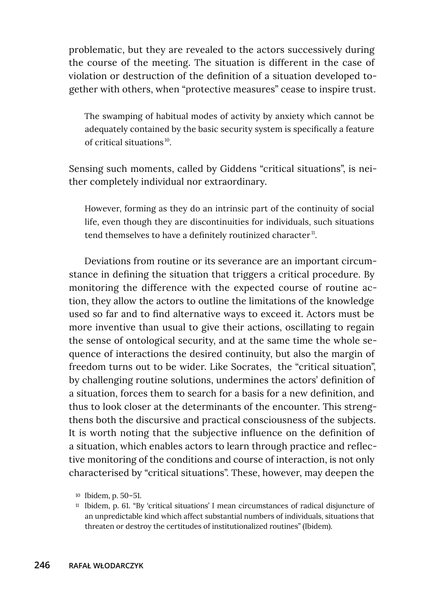problematic, but they are revealed to the actors successively during the course of the meeting. The situation is different in the case of violation or destruction of the definition of a situation developed together with others, when "protective measures" cease to inspire trust.

The swamping of habitual modes of activity by anxiety which cannot be adequately contained by the basic security system is specifically a feature of critical situations 10.

Sensing such moments, called by Giddens "critical situations", is neither completely individual nor extraordinary.

However, forming as they do an intrinsic part of the continuity of social life, even though they are discontinuities for individuals, such situations tend themselves to have a definitely routinized character $^{\text{II}}$ .

Deviations from routine or its severance are an important circumstance in defining the situation that triggers a critical procedure. By monitoring the difference with the expected course of routine action, they allow the actors to outline the limitations of the knowledge used so far and to find alternative ways to exceed it. Actors must be more inventive than usual to give their actions, oscillating to regain the sense of ontological security, and at the same time the whole sequence of interactions the desired continuity, but also the margin of freedom turns out to be wider. Like Socrates, the "critical situation", by challenging routine solutions, undermines the actors' definition of a situation, forces them to search for a basis for a new definition, and thus to look closer at the determinants of the encounter. This strengthens both the discursive and practical consciousness of the subjects. It is worth noting that the subjective influence on the definition of a situation, which enables actors to learn through practice and reflective monitoring of the conditions and course of interaction, is not only characterised by "critical situations". These, however, may deepen the

<sup>10</sup> Ibidem, p. 50–51.

<sup>11</sup> Ibidem, p. 61. "By 'critical situations' I mean circumstances of radical disjuncture of an unpredictable kind which affect substantial numbers of individuals, situations that threaten or destroy the certitudes of institutionalized routines" (Ibidem).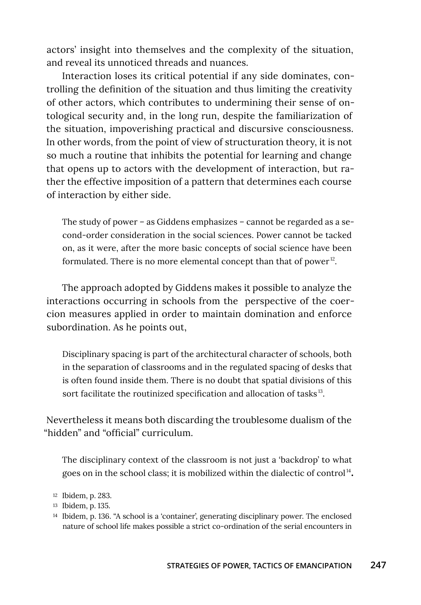actors' insight into themselves and the complexity of the situation, and reveal its unnoticed threads and nuances.

Interaction loses its critical potential if any side dominates, controlling the definition of the situation and thus limiting the creativity of other actors, which contributes to undermining their sense of ontological security and, in the long run, despite the familiarization of the situation, impoverishing practical and discursive consciousness. In other words, from the point of view of structuration theory, it is not so much a routine that inhibits the potential for learning and change that opens up to actors with the development of interaction, but rather the effective imposition of a pattern that determines each course of interaction by either side.

The study of power – as Giddens emphasizes – cannot be regarded as a second-order consideration in the social sciences. Power cannot be tacked on, as it were, after the more basic concepts of social science have been formulated. There is no more elemental concept than that of power $12$ .

The approach adopted by Giddens makes it possible to analyze the interactions occurring in schools from the perspective of the coercion measures applied in order to maintain domination and enforce subordination. As he points out,

Disciplinary spacing is part of the architectural character of schools, both in the separation of classrooms and in the regulated spacing of desks that is often found inside them. There is no doubt that spatial divisions of this sort facilitate the routinized specification and allocation of tasks<sup>13</sup>.

Nevertheless it means both discarding the troublesome dualism of the "hidden" and "official" curriculum.

The disciplinary context of the classroom is not just a 'backdrop' to what goes on in the school class; it is mobilized within the dialectic of control<sup>14</sup>.

<sup>13</sup> Ibidem, p. 135.

<sup>12</sup> Ibidem, p. 283.

<sup>14</sup> Ibidem, p. 136. "A school is a 'container', generating disciplinary power. The enclosed nature of school life makes possible a strict co-ordination of the serial encounters in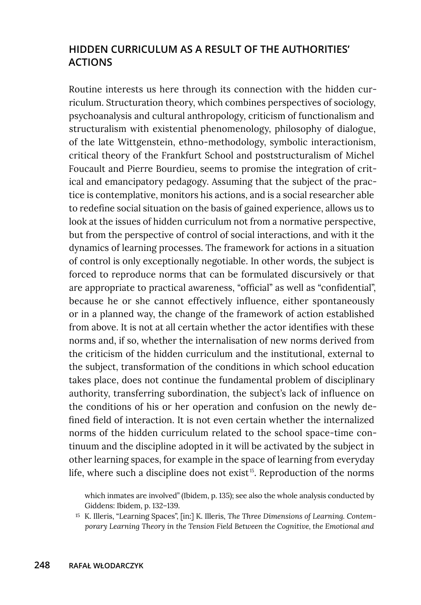# **HIDDEN CURRICULUM AS A RESULT OF THE AUTHORITIES' ACTIONS**

Routine interests us here through its connection with the hidden curriculum. Structuration theory, which combines perspectives of sociology, psychoanalysis and cultural anthropology, criticism of functionalism and structuralism with existential phenomenology, philosophy of dialogue, of the late Wittgenstein, ethno-methodology, symbolic interactionism, critical theory of the Frankfurt School and poststructuralism of Michel Foucault and Pierre Bourdieu, seems to promise the integration of critical and emancipatory pedagogy. Assuming that the subject of the practice is contemplative, monitors his actions, and is a social researcher able to redefine social situation on the basis of gained experience, allows us to look at the issues of hidden curriculum not from a normative perspective, but from the perspective of control of social interactions, and with it the dynamics of learning processes. The framework for actions in a situation of control is only exceptionally negotiable. In other words, the subject is forced to reproduce norms that can be formulated discursively or that are appropriate to practical awareness, "official" as well as "confidential", because he or she cannot effectively influence, either spontaneously or in a planned way, the change of the framework of action established from above. It is not at all certain whether the actor identifies with these norms and, if so, whether the internalisation of new norms derived from the criticism of the hidden curriculum and the institutional, external to the subject, transformation of the conditions in which school education takes place, does not continue the fundamental problem of disciplinary authority, transferring subordination, the subject's lack of influence on the conditions of his or her operation and confusion on the newly defined field of interaction. It is not even certain whether the internalized norms of the hidden curriculum related to the school space-time continuum and the discipline adopted in it will be activated by the subject in other learning spaces, for example in the space of learning from everyday life, where such a discipline does not exist<sup>15</sup>. Reproduction of the norms

which inmates are involved" (Ibidem, p. 135); see also the whole analysis conducted by Giddens: Ibidem, p. 132–139.

<sup>15</sup> K. Illeris, "Learning Spaces", [in:] K. Illeris, *The Three Dimensions of Learning. Contemporary Learning Theory in the Tension Field Between the Cognitive, the Emotional and*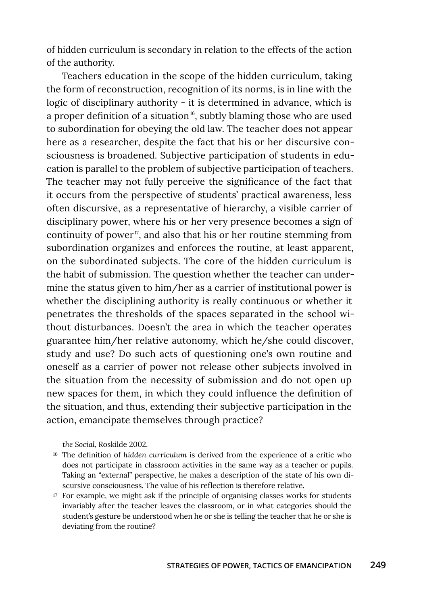of hidden curriculum is secondary in relation to the effects of the action of the authority.

Teachers education in the scope of the hidden curriculum, taking the form of reconstruction, recognition of its norms, is in line with the logic of disciplinary authority - it is determined in advance, which is a proper definition of a situation<sup>16</sup>, subtly blaming those who are used to subordination for obeying the old law. The teacher does not appear here as a researcher, despite the fact that his or her discursive consciousness is broadened. Subjective participation of students in education is parallel to the problem of subjective participation of teachers. The teacher may not fully perceive the significance of the fact that it occurs from the perspective of students' practical awareness, less often discursive, as a representative of hierarchy, a visible carrier of disciplinary power, where his or her very presence becomes a sign of continuity of power<sup>17</sup>, and also that his or her routine stemming from subordination organizes and enforces the routine, at least apparent, on the subordinated subjects. The core of the hidden curriculum is the habit of submission. The question whether the teacher can undermine the status given to him/her as a carrier of institutional power is whether the disciplining authority is really continuous or whether it penetrates the thresholds of the spaces separated in the school without disturbances. Doesn't the area in which the teacher operates guarantee him/her relative autonomy, which he/she could discover, study and use? Do such acts of questioning one's own routine and oneself as a carrier of power not release other subjects involved in the situation from the necessity of submission and do not open up new spaces for them, in which they could influence the definition of the situation, and thus, extending their subjective participation in the action, emancipate themselves through practice?

*the Social*, Roskilde 2002.

- <sup>16</sup> The definition of *hidden curriculum* is derived from the experience of a critic who does not participate in classroom activities in the same way as a teacher or pupils. Taking an "external" perspective, he makes a description of the state of his own discursive consciousness. The value of his reflection is therefore relative.
- <sup>17</sup> For example, we might ask if the principle of organising classes works for students invariably after the teacher leaves the classroom, or in what categories should the student's gesture be understood when he or she is telling the teacher that he or she is deviating from the routine?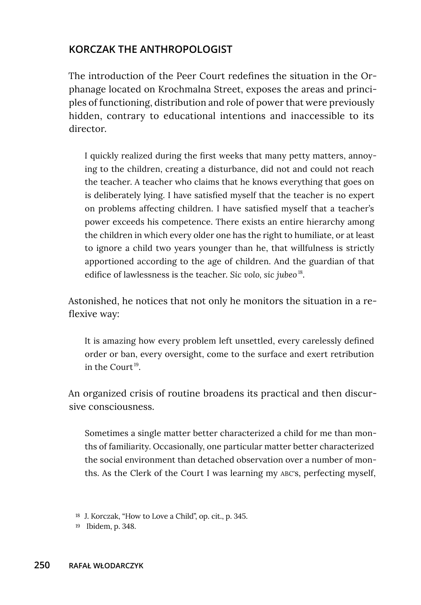## **KORCZAK THE ANTHROPOLOGIST**

The introduction of the Peer Court redefines the situation in the Orphanage located on Krochmalna Street, exposes the areas and principles of functioning, distribution and role of power that were previously hidden, contrary to educational intentions and inaccessible to its director.

I quickly realized during the first weeks that many petty matters, annoying to the children, creating a disturbance, did not and could not reach the teacher. A teacher who claims that he knows everything that goes on is deliberately lying. I have satisfied myself that the teacher is no expert on problems affecting children. I have satisfied myself that a teacher's power exceeds his competence. There exists an entire hierarchy among the children in which every older one has the right to humiliate, or at least to ignore a child two years younger than he, that willfulness is strictly apportioned according to the age of children. And the guardian of that edifice of lawlessness is the teacher. *Sic volo, sic jubeo* 18.

Astonished, he notices that not only he monitors the situation in a reflexive way:

It is amazing how every problem left unsettled, every carelessly defined order or ban, every oversight, come to the surface and exert retribution in the Court 19.

An organized crisis of routine broadens its practical and then discursive consciousness.

Sometimes a single matter better characterized a child for me than months of familiarity. Occasionally, one particular matter better characterized the social environment than detached observation over a number of months. As the Clerk of the Court I was learning my ABC's, perfecting myself,

<sup>18</sup> J. Korczak, "How to Love a Child", op. cit., p. 345.

<sup>19</sup> Ibidem, p. 348.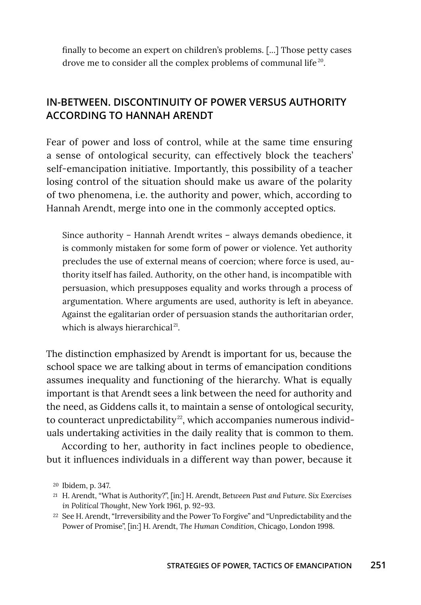finally to become an expert on children's problems. [...] Those petty cases drove me to consider all the complex problems of communal life<sup>20</sup>.

# **IN-BETWEEN. DISCONTINUITY OF POWER VERSUS AUTHORITY ACCORDING TO HANNAH ARENDT**

Fear of power and loss of control, while at the same time ensuring a sense of ontological security, can effectively block the teachers' self-emancipation initiative. Importantly, this possibility of a teacher losing control of the situation should make us aware of the polarity of two phenomena, i.e. the authority and power, which, according to Hannah Arendt, merge into one in the commonly accepted optics.

Since authority – Hannah Arendt writes – always demands obedience, it is commonly mistaken for some form of power or violence. Yet authority precludes the use of external means of coercion; where force is used, authority itself has failed. Authority, on the other hand, is incompatible with persuasion, which presupposes equality and works through a process of argumentation. Where arguments are used, authority is left in abeyance. Against the egalitarian order of persuasion stands the authoritarian order, which is always hierarchical<sup>21</sup>.

The distinction emphasized by Arendt is important for us, because the school space we are talking about in terms of emancipation conditions assumes inequality and functioning of the hierarchy. What is equally important is that Arendt sees a link between the need for authority and the need, as Giddens calls it, to maintain a sense of ontological security, to counteract unpredictability<sup>22</sup>, which accompanies numerous individuals undertaking activities in the daily reality that is common to them.

According to her, authority in fact inclines people to obedience, but it influences individuals in a different way than power, because it

<sup>20</sup> Ibidem, p. 347.

<sup>21</sup> H. Arendt, "What is Authority?", [in:] H. Arendt, *Between Past and Future. Six Exercises in Political Thought*, New York 1961, p. 92–93.

<sup>22</sup> See H. Arendt, "Irreversibility and the Power To Forgive" and "Unpredictability and the Power of Promise", [in:] H. Arendt, *The Human Condition*, Chicago, London 1998.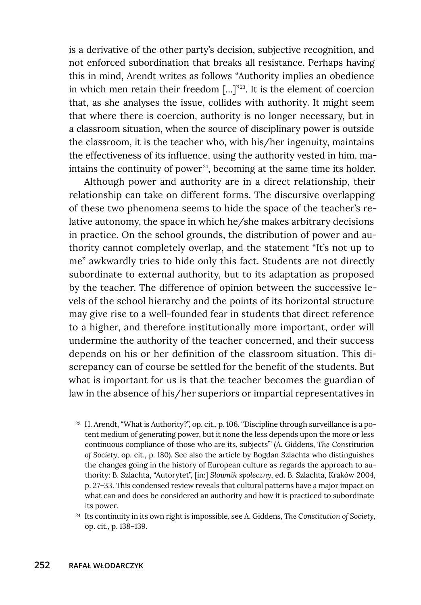is a derivative of the other party's decision, subjective recognition, and not enforced subordination that breaks all resistance. Perhaps having this in mind, Arendt writes as follows "Authority implies an obedience in which men retain their freedom  $[\dots]^{223}$ . It is the element of coercion that, as she analyses the issue, collides with authority. It might seem that where there is coercion, authority is no longer necessary, but in a classroom situation, when the source of disciplinary power is outside the classroom, it is the teacher who, with his/her ingenuity, maintains the effectiveness of its influence, using the authority vested in him, maintains the continuity of power<sup>24</sup>, becoming at the same time its holder.

Although power and authority are in a direct relationship, their relationship can take on different forms. The discursive overlapping of these two phenomena seems to hide the space of the teacher's relative autonomy, the space in which he/she makes arbitrary decisions in practice. On the school grounds, the distribution of power and authority cannot completely overlap, and the statement "It's not up to me" awkwardly tries to hide only this fact. Students are not directly subordinate to external authority, but to its adaptation as proposed by the teacher. The difference of opinion between the successive levels of the school hierarchy and the points of its horizontal structure may give rise to a well-founded fear in students that direct reference to a higher, and therefore institutionally more important, order will undermine the authority of the teacher concerned, and their success depends on his or her definition of the classroom situation. This discrepancy can of course be settled for the benefit of the students. But what is important for us is that the teacher becomes the guardian of law in the absence of his/her superiors or impartial representatives in

- <sup>23</sup> H. Arendt, "What is Authority?", op. cit., p. 106. "Discipline through surveillance is a potent medium of generating power, but it none the less depends upon the more or less continuous compliance of those who are its, subjects<sup>"</sup> (A. Giddens, *The Constitution of Society*, op. cit., p. 180). See also the article by Bogdan Szlachta who distinguishes the changes going in the history of European culture as regards the approach to authority: B. Szlachta, "Autorytet", [in:] *Słownik społeczny*, ed. B. Szlachta, Kraków 2004, p. 27–33. This condensed review reveals that cultural patterns have a major impact on what can and does be considered an authority and how it is practiced to subordinate its power.
- <sup>24</sup> Its continuity in its own right is impossible, see A. Giddens, *The Constitution of Society*, op. cit., p. 138–139.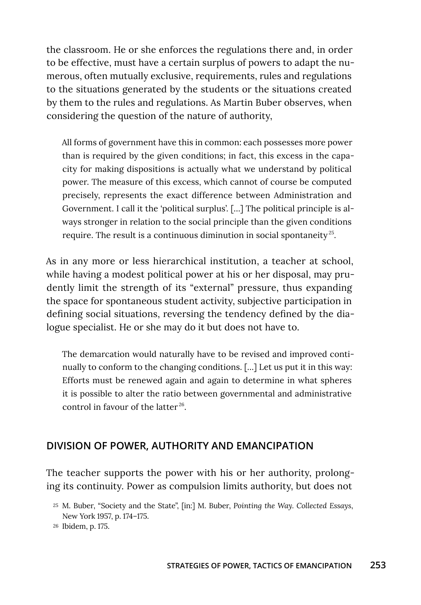the classroom. He or she enforces the regulations there and, in order to be effective, must have a certain surplus of powers to adapt the numerous, often mutually exclusive, requirements, rules and regulations to the situations generated by the students or the situations created by them to the rules and regulations. As Martin Buber observes, when considering the question of the nature of authority,

All forms of government have this in common: each possesses more power than is required by the given conditions; in fact, this excess in the capacity for making dispositions is actually what we understand by political power. The measure of this excess, which cannot of course be computed precisely, represents the exact difference between Administration and Government. I call it the 'political surplus'. […] The political principle is always stronger in relation to the social principle than the given conditions require. The result is a continuous diminution in social spontaneity<sup>25</sup>.

As in any more or less hierarchical institution, a teacher at school, while having a modest political power at his or her disposal, may prudently limit the strength of its "external" pressure, thus expanding the space for spontaneous student activity, subjective participation in defining social situations, reversing the tendency defined by the dialogue specialist. He or she may do it but does not have to.

The demarcation would naturally have to be revised and improved continually to conform to the changing conditions. […] Let us put it in this way: Efforts must be renewed again and again to determine in what spheres it is possible to alter the ratio between governmental and administrative control in favour of the latter 26.

## **DIVISION OF POWER, AUTHORITY AND EMANCIPATION**

The teacher supports the power with his or her authority, prolonging its continuity. Power as compulsion limits authority, but does not

- <sup>25</sup> M. Buber, "Society and the State", [in:] M. Buber, *Pointing the Way. Collected Essays*, New York 1957, p. 174–175.
- <sup>26</sup> Ibidem, p. 175.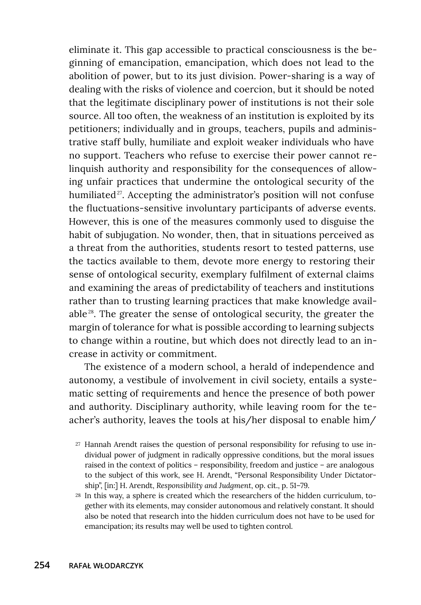eliminate it. This gap accessible to practical consciousness is the beginning of emancipation, emancipation, which does not lead to the abolition of power, but to its just division. Power-sharing is a way of dealing with the risks of violence and coercion, but it should be noted that the legitimate disciplinary power of institutions is not their sole source. All too often, the weakness of an institution is exploited by its petitioners; individually and in groups, teachers, pupils and administrative staff bully, humiliate and exploit weaker individuals who have no support. Teachers who refuse to exercise their power cannot relinquish authority and responsibility for the consequences of allowing unfair practices that undermine the ontological security of the humiliated<sup>27</sup>. Accepting the administrator's position will not confuse the fluctuations-sensitive involuntary participants of adverse events. However, this is one of the measures commonly used to disguise the habit of subjugation. No wonder, then, that in situations perceived as a threat from the authorities, students resort to tested patterns, use the tactics available to them, devote more energy to restoring their sense of ontological security, exemplary fulfilment of external claims and examining the areas of predictability of teachers and institutions rather than to trusting learning practices that make knowledge available 28. The greater the sense of ontological security, the greater the margin of tolerance for what is possible according to learning subjects to change within a routine, but which does not directly lead to an increase in activity or commitment.

The existence of a modern school, a herald of independence and autonomy, a vestibule of involvement in civil society, entails a systematic setting of requirements and hence the presence of both power and authority. Disciplinary authority, while leaving room for the teacher's authority, leaves the tools at his/her disposal to enable him/

- <sup>27</sup> Hannah Arendt raises the question of personal responsibility for refusing to use individual power of judgment in radically oppressive conditions, but the moral issues raised in the context of politics – responsibility, freedom and justice – are analogous to the subject of this work, see H. Arendt, "Personal Responsibility Under Dictatorship", [in:] H. Arendt, *Responsibility and Judgment*, op. cit., p. 51–79.
- <sup>28</sup> In this way, a sphere is created which the researchers of the hidden curriculum, together with its elements, may consider autonomous and relatively constant. It should also be noted that research into the hidden curriculum does not have to be used for emancipation; its results may well be used to tighten control.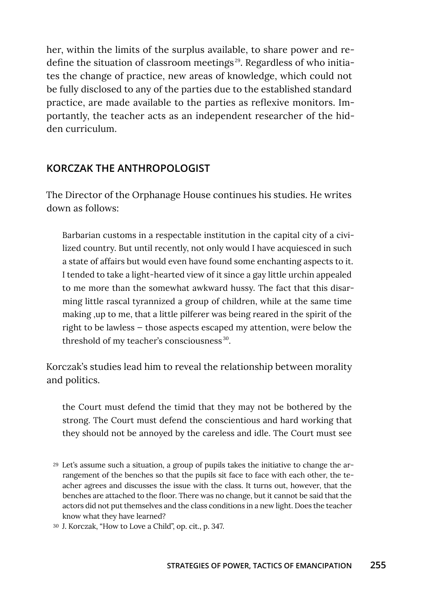her, within the limits of the surplus available, to share power and redefine the situation of classroom meetings 29. Regardless of who initiates the change of practice, new areas of knowledge, which could not be fully disclosed to any of the parties due to the established standard practice, are made available to the parties as reflexive monitors. Importantly, the teacher acts as an independent researcher of the hidden curriculum.

## **KORCZAK THE ANTHROPOLOGIST**

The Director of the Orphanage House continues his studies. He writes down as follows:

Barbarian customs in a respectable institution in the capital city of a civilized country. But until recently, not only would I have acquiesced in such a state of affairs but would even have found some enchanting aspects to it. I tended to take a light-hearted view of it since a gay little urchin appealed to me more than the somewhat awkward hussy. The fact that this disarming little rascal tyrannized a group of children, while at the same time making ,up to me, that a little pilferer was being reared in the spirit of the right to be lawless — those aspects escaped my attention, were below the threshold of my teacher's consciousness<sup>30</sup>.

Korczak's studies lead him to reveal the relationship between morality and politics.

the Court must defend the timid that they may not be bothered by the strong. The Court must defend the conscientious and hard working that they should not be annoyed by the careless and idle. The Court must see

<sup>29</sup> Let's assume such a situation, a group of pupils takes the initiative to change the arrangement of the benches so that the pupils sit face to face with each other, the teacher agrees and discusses the issue with the class. It turns out, however, that the benches are attached to the floor. There was no change, but it cannot be said that the actors did not put themselves and the class conditions in a new light. Does the teacher know what they have learned?

<sup>30</sup> J. Korczak, "How to Love a Child", op. cit., p. 347.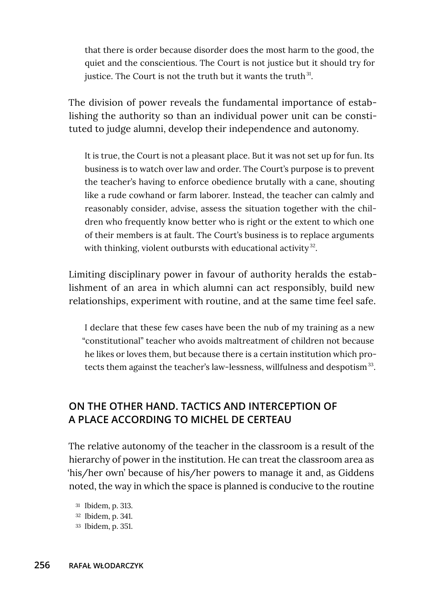that there is order because disorder does the most harm to the good, the quiet and the conscientious. The Court is not justice but it should try for justice. The Court is not the truth but it wants the truth $31$ .

The division of power reveals the fundamental importance of establishing the authority so than an individual power unit can be constituted to judge alumni, develop their independence and autonomy.

It is true, the Court is not a pleasant place. But it was not set up for fun. Its business is to watch over law and order. The Court's purpose is to prevent the teacher's having to enforce obedience brutally with a cane, shouting like a rude cowhand or farm laborer. Instead, the teacher can calmly and reasonably consider, advise, assess the situation together with the children who frequently know better who is right or the extent to which one of their members is at fault. The Court's business is to replace arguments with thinking, violent outbursts with educational activity $32$ .

Limiting disciplinary power in favour of authority heralds the establishment of an area in which alumni can act responsibly, build new relationships, experiment with routine, and at the same time feel safe.

I declare that these few cases have been the nub of my training as a new "constitutional" teacher who avoids maltreatment of children not because he likes or loves them, but because there is a certain institution which protects them against the teacher's law-lessness, willfulness and despotism<sup>33</sup>.

# **ON THE OTHER HAND. TACTICS AND INTERCEPTION OF A PLACE ACCORDING TO MICHEL DE CERTEAU**

The relative autonomy of the teacher in the classroom is a result of the hierarchy of power in the institution. He can treat the classroom area as 'his/her own' because of his/her powers to manage it and, as Giddens noted, the way in which the space is planned is conducive to the routine

- <sup>31</sup> Ibidem, p. 313. <sup>32</sup> Ibidem, p. 341.
- <sup>33</sup> Ibidem, p. 351.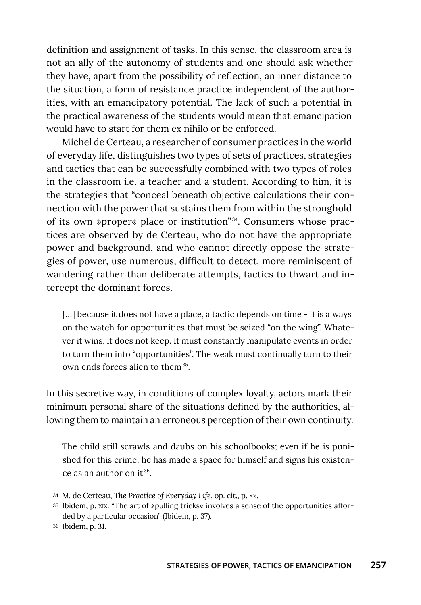definition and assignment of tasks. In this sense, the classroom area is not an ally of the autonomy of students and one should ask whether they have, apart from the possibility of reflection, an inner distance to the situation, a form of resistance practice independent of the authorities, with an emancipatory potential. The lack of such a potential in the practical awareness of the students would mean that emancipation would have to start for them ex nihilo or be enforced.

Michel de Certeau, a researcher of consumer practices in the world of everyday life, distinguishes two types of sets of practices, strategies and tactics that can be successfully combined with two types of roles in the classroom i.e. a teacher and a student. According to him, it is the strategies that "conceal beneath objective calculations their connection with the power that sustains them from within the stronghold of its own »proper« place or institution"  34. Consumers whose practices are observed by de Certeau, who do not have the appropriate power and background, and who cannot directly oppose the strategies of power, use numerous, difficult to detect, more reminiscent of wandering rather than deliberate attempts, tactics to thwart and intercept the dominant forces.

[...] because it does not have a place, a tactic depends on time - it is always on the watch for opportunities that must be seized "on the wing". Whatever it wins, it does not keep. It must constantly manipulate events in order to turn them into "opportunities". The weak must continually turn to their own ends forces alien to them<sup>35</sup>.

In this secretive way, in conditions of complex loyalty, actors mark their minimum personal share of the situations defined by the authorities, allowing them to maintain an erroneous perception of their own continuity.

The child still scrawls and daubs on his schoolbooks; even if he is punished for this crime, he has made a space for himself and signs his existence as an author on it  $36$ .

<sup>34</sup> M. de Certeau, *The Practice of Everyday Life*, op. cit., p. XX.

<sup>35</sup> Ibidem, p. XIX. "The art of »pulling tricks« involves a sense of the opportunities afforded by a particular occasion" (Ibidem, p. 37).

<sup>36</sup> Ibidem, p. 31.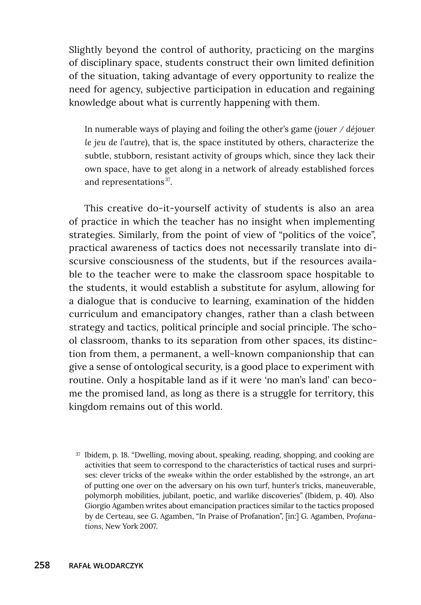Slightly beyond the control of authority, practicing on the margins of disciplinary space, students construct their own limited definition of the situation, taking advantage of every opportunity to realize the need for agency, subjective participation in education and regaining knowledge about what is currently happening with them.

In numerable ways of playing and foiling the other's game (*jouer / déjouer le jeu de l'autre*), that is, the space instituted by others, characterize the subtle, stubborn, resistant activity of groups which, since they lack their own space, have to get along in a network of already established forces and representations<sup>37</sup>.

This creative do-it-yourself activity of students is also an area of practice in which the teacher has no insight when implementing strategies. Similarly, from the point of view of "politics of the voice", practical awareness of tactics does not necessarily translate into discursive consciousness of the students, but if the resources available to the teacher were to make the classroom space hospitable to the students, it would establish a substitute for asylum, allowing for a dialogue that is conducive to learning, examination of the hidden curriculum and emancipatory changes, rather than a clash between strategy and tactics, political principle and social principle. The school classroom, thanks to its separation from other spaces, its distinction from them, a permanent, a well-known companionship that can give a sense of ontological security, is a good place to experiment with routine. Only a hospitable land as if it were 'no man's land' can become the promised land, as long as there is a struggle for territory, this kingdom remains out of this world.

<sup>37</sup> Ibidem, p. 18. "Dwelling, moving about, speaking, reading, shopping, and cooking are activities that seem to correspond to the characteristics of tactical ruses and surprises: clever tricks of the »weak« within the order established by the »strong«, an art of putting one over on the adversary on his own turf, hunter's tricks, maneuverable, polymorph mobilities, jubilant, poetic, and warlike discoveries" (Ibidem, p. 40). Also Giorgio Agamben writes about emancipation practices similar to the tactics proposed by de Certeau, see G. Agamben, "In Praise of Profanation", [in:] G. Agamben, *Profanations*, New York 2007.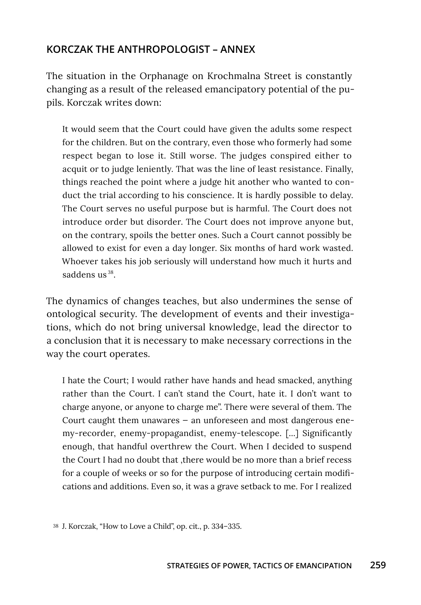## **KORCZAK THE ANTHROPOLOGIST – ANNEX**

The situation in the Orphanage on Krochmalna Street is constantly changing as a result of the released emancipatory potential of the pupils. Korczak writes down:

It would seem that the Court could have given the adults some respect for the children. But on the contrary, even those who formerly had some respect began to lose it. Still worse. The judges conspired either to acquit or to judge leniently. That was the line of least resistance. Finally, things reached the point where a judge hit another who wanted to conduct the trial according to his conscience. It is hardly possible to delay. The Court serves no useful purpose but is harmful. The Court does not introduce order but disorder. The Court does not improve anyone but, on the contrary, spoils the better ones. Such a Court cannot possibly be allowed to exist for even a day longer. Six months of hard work wasted. Whoever takes his job seriously will understand how much it hurts and saddens  $us<sup>38</sup>$ .

The dynamics of changes teaches, but also undermines the sense of ontological security. The development of events and their investigations, which do not bring universal knowledge, lead the director to a conclusion that it is necessary to make necessary corrections in the way the court operates.

I hate the Court; I would rather have hands and head smacked, anything rather than the Court. I can't stand the Court, hate it. I don't want to charge anyone, or anyone to charge me". There were several of them. The Court caught them unawares — an unforeseen and most dangerous enemy-recorder, enemy-propagandist, enemy-telescope. [...] Significantly enough, that handful overthrew the Court. When I decided to suspend the Court I had no doubt that ,there would be no more than a brief recess for a couple of weeks or so for the purpose of introducing certain modifications and additions. Even so, it was a grave setback to me. For I realized

<sup>38</sup> J. Korczak, "How to Love a Child", op. cit., p. 334–335.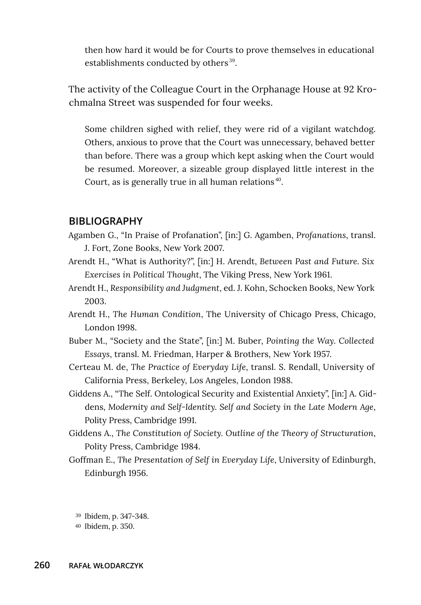then how hard it would be for Courts to prove themselves in educational establishments conducted by others<sup>39</sup>.

The activity of the Colleague Court in the Orphanage House at 92 Krochmalna Street was suspended for four weeks.

Some children sighed with relief, they were rid of a vigilant watchdog. Others, anxious to prove that the Court was unnecessary, behaved better than before. There was a group which kept asking when the Court would be resumed. Moreover, a sizeable group displayed little interest in the Court, as is generally true in all human relations<sup>40</sup>.

#### **BIBLIOGRAPHY**

- Agamben G., "In Praise of Profanation", [in:] G. Agamben, *Profanations*, transl. J. Fort, Zone Books, New York 2007.
- Arendt H., "What is Authority?", [in:] H. Arendt, *Between Past and Future. Six Exercises in Political Thought*, The Viking Press, New York 1961.
- Arendt H., *Responsibility and Judgment*, ed. J. Kohn, Schocken Books, New York 2003.
- Arendt H., *The Human Condition*, The University of Chicago Press, Chicago, London 1998.
- Buber M., "Society and the State", [in:] M. Buber, *Pointing the Way. Collected Essays*, transl. M. Friedman, Harper & Brothers, New York 1957.
- Certeau M. de, *The Practice of Everyday Life*, transl. S. Rendall, University of California Press, Berkeley, Los Angeles, London 1988.
- Giddens A., "The Self. Ontological Security and Existential Anxiety", [in:] A. Giddens, *Modernity and Self-Identity. Self and Society in the Late Modern Age*, Polity Press, Cambridge 1991.
- Giddens A., *The Constitution of Society. Outline of the Theory of Structuration*, Polity Press, Cambridge 1984.
- Goffman E., *The Presentation of Self in Everyday Life*, University of Edinburgh, Edinburgh 1956.

<sup>39</sup> Ibidem, p. 347-348.

<sup>40</sup> Ibidem, p. 350.